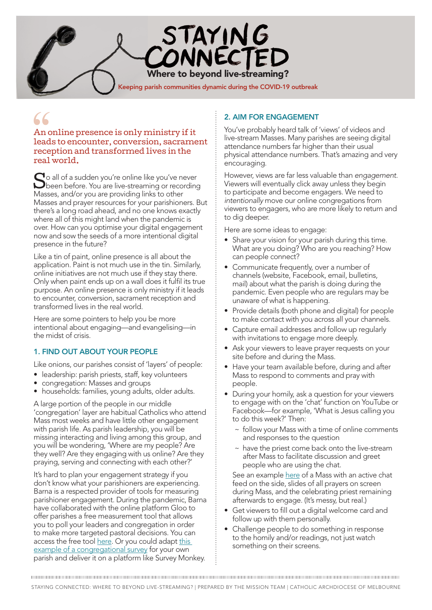

An online presence is only ministry if it leads to encounter, conversion, sacrament reception and transformed lives in the real world.

So all of a sudden you're online like you've never<br>been before. You are live-streaming or recording Masses, and/or you are providing links to other Masses and prayer resources for your parishioners. But there's a long road ahead, and no one knows exactly where all of this might land when the pandemic is over. How can you optimise your digital engagement now and sow the seeds of a more intentional digital presence in the future?

Like a tin of paint, online presence is all about the application. Paint is not much use in the tin. Similarly, online initiatives are not much use if they stay there. Only when paint ends up on a wall does it fulfil its true purpose. An online presence is only ministry if it leads to encounter, conversion, sacrament reception and transformed lives in the real world.

Here are some pointers to help you be more intentional about engaging—and evangelising—in the midst of crisis.

# 1. FIND OUT ABOUT YOUR PEOPLE

Like onions, our parishes consist of 'layers' of people:

- leadership: parish priests, staff, key volunteers
- congregation: Masses and groups
- households: families, young adults, older adults.

A large portion of the people in our middle 'congregation' layer are habitual Catholics who attend Mass most weeks and have little other engagement with parish life. As parish leadership, you will be missing interacting and living among this group, and you will be wondering, 'Where are my people? Are they well? Are they engaging with us online? Are they praying, serving and connecting with each other?'

It's hard to plan your engagement strategy if you don't know what your parishioners are experiencing. Barna is a respected provider of tools for measuring parishioner engagement. During the pandemic, Barna have collaborated with the online platform Gloo to offer parishes a free measurement tool that allows you to poll your leaders and congregation in order to make more targeted pastoral decisions. You can access the free tool [here.](https://www.barna.com/research/churchpulse-weekly/) Or you could adapt this [example of a congregational survey](http://www.cam.org.au/LinkClick.aspx?fileticket=uNznP6pykrU%3d&tabid=7922&portalid=0&mid=13063) for your own parish and deliver it on a platform like Survey Monkey.

## 2. AIM FOR ENGAGEMENT

You've probably heard talk of 'views' of videos and live-stream Masses. Many parishes are seeing digital attendance numbers far higher than their usual physical attendance numbers. That's amazing and very encouraging.

However, views are far less valuable than *engagement*. Viewers will eventually click away unless they begin to participate and become engagers. We need to *intentionally* move our online congregations from viewers to engagers, who are more likely to return and to dig deeper.

Here are some ideas to engage:

- Share your vision for your parish during this time. What are you doing? Who are you reaching? How can people connect?
- Communicate frequently, over a number of channels (website, Facebook, email, bulletins, mail) about what the parish is doing during the pandemic. Even people who are regulars may be unaware of what is happening.
- Provide details (both phone and digital) for people to make contact with you across all your channels.
- Capture email addresses and follow up regularly with invitations to engage more deeply.
- Ask your viewers to leave prayer requests on your site before and during the Mass.
- Have your team available before, during and after Mass to respond to comments and pray with people.
- During your homily, ask a question for your viewers to engage with on the 'chat' function on YouTube or Facebook—for example, 'What is Jesus calling you to do this week?' Then:
	- $\sim$  follow your Mass with a time of online comments and responses to the question
	- $\sim$  have the priest come back onto the live-stream after Mass to facilitate discussion and greet people who are using the chat.

See an example [here](https://www.youtube.com/watch?v=5lHUAKM1tzM) of a Mass with an active chat feed on the side, slides of all prayers on screen during Mass, and the celebrating priest remaining afterwards to engage. (It's messy, but real.)

- Get viewers to fill out a digital welcome card and follow up with them personally.
- Challenge people to do something in response to the homily and/or readings, not just watch something on their screens.

STAYING CONNECTED: WHERE TO BEYOND LIVE-STREAMING? | PREPARED BY THE MISSION TEAM | CATHOLIC ARCHDIOCESE OF MELBOURNE